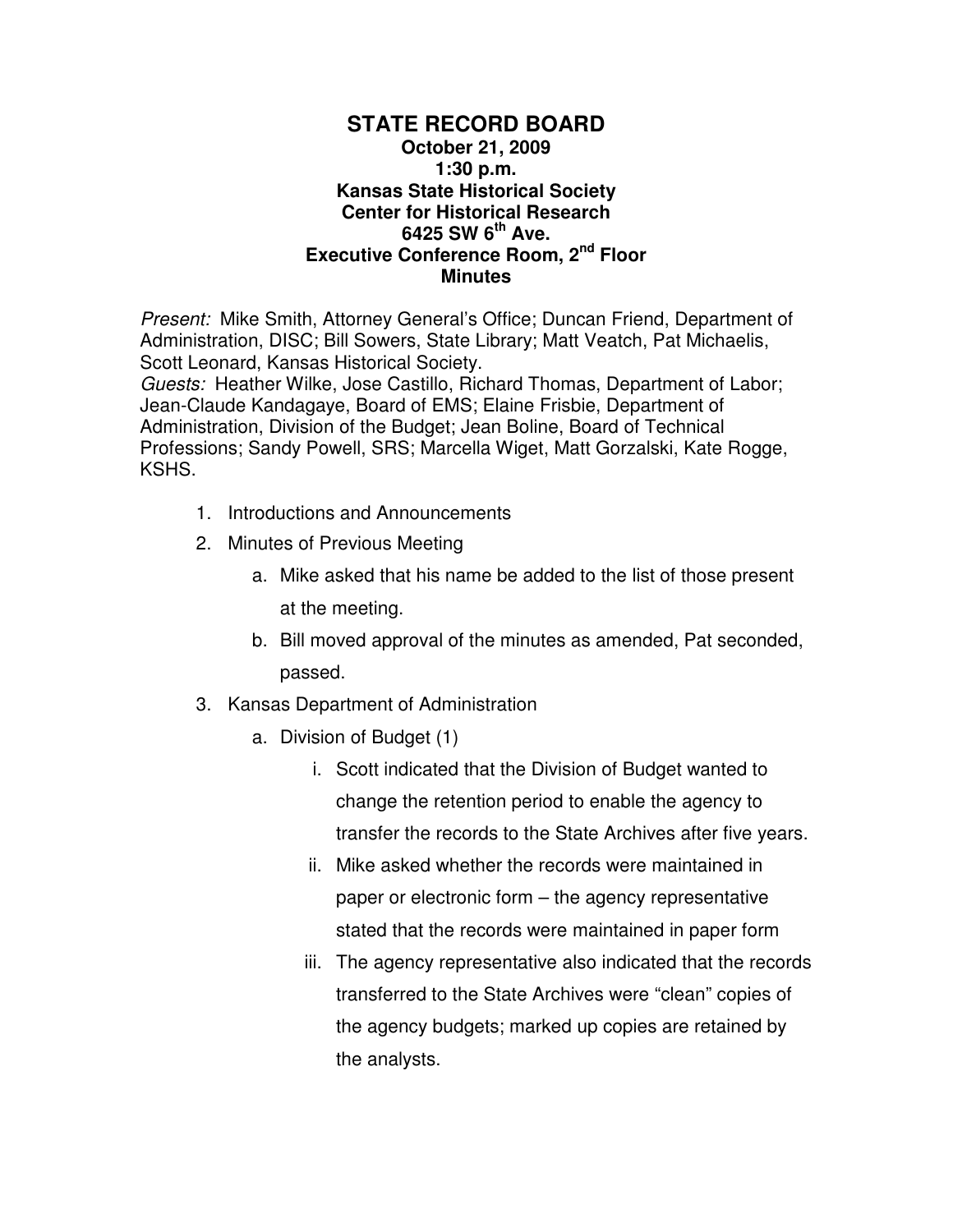## **STATE RECORD BOARD October 21, 2009 1:30 p.m. Kansas State Historical Society Center for Historical Research 6425 SW 6th Ave. Executive Conference Room, 2nd Floor Minutes**

Present: Mike Smith, Attorney General's Office; Duncan Friend, Department of Administration, DISC; Bill Sowers, State Library; Matt Veatch, Pat Michaelis, Scott Leonard, Kansas Historical Society.

Guests: Heather Wilke, Jose Castillo, Richard Thomas, Department of Labor; Jean-Claude Kandagaye, Board of EMS; Elaine Frisbie, Department of Administration, Division of the Budget; Jean Boline, Board of Technical Professions; Sandy Powell, SRS; Marcella Wiget, Matt Gorzalski, Kate Rogge, KSHS.

- 1. Introductions and Announcements
- 2. Minutes of Previous Meeting
	- a. Mike asked that his name be added to the list of those present at the meeting.
	- b. Bill moved approval of the minutes as amended, Pat seconded, passed.
- 3. Kansas Department of Administration
	- a. Division of Budget (1)
		- i. Scott indicated that the Division of Budget wanted to change the retention period to enable the agency to transfer the records to the State Archives after five years.
		- ii. Mike asked whether the records were maintained in paper or electronic form – the agency representative stated that the records were maintained in paper form
		- iii. The agency representative also indicated that the records transferred to the State Archives were "clean" copies of the agency budgets; marked up copies are retained by the analysts.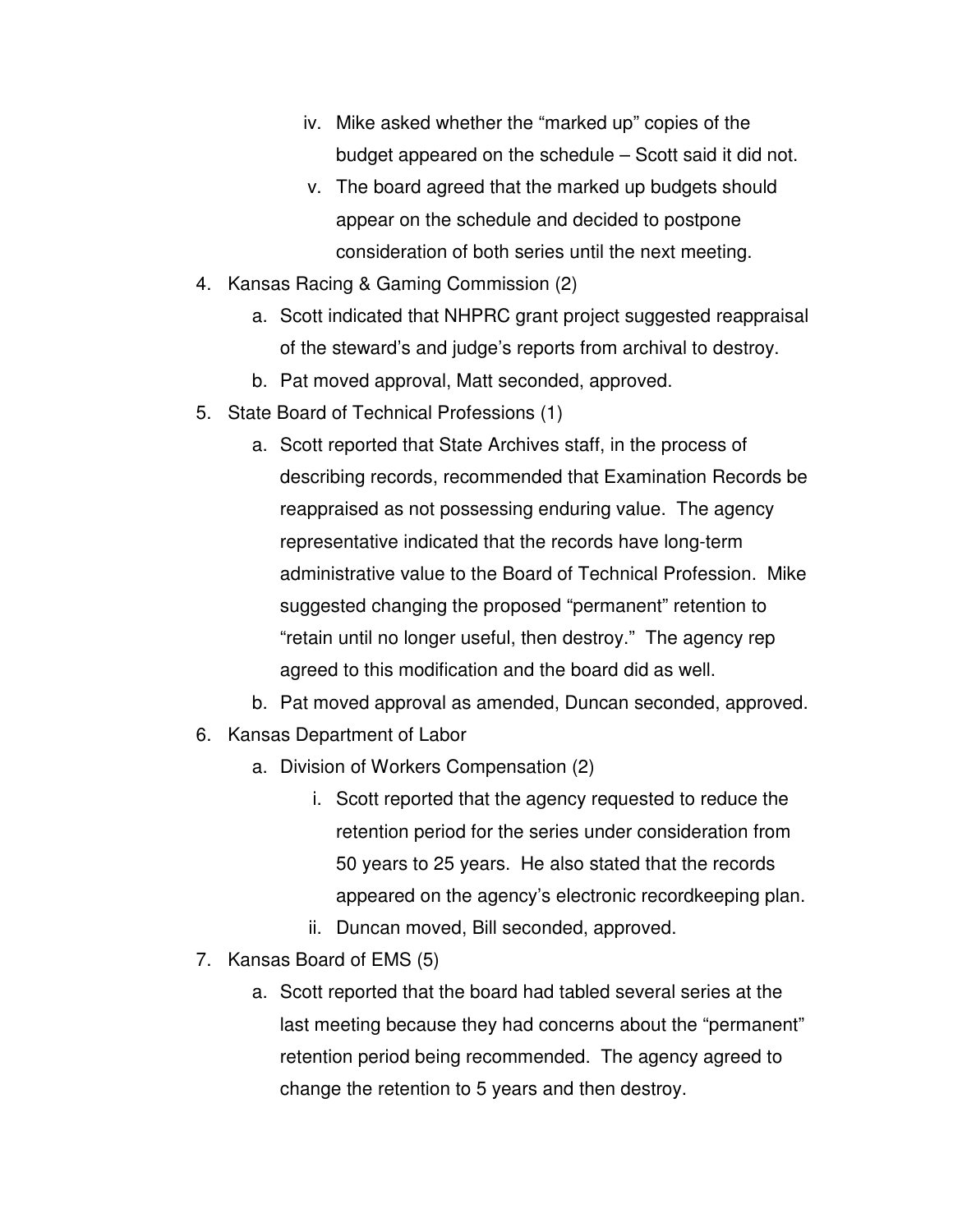- iv. Mike asked whether the "marked up" copies of the budget appeared on the schedule – Scott said it did not.
- v. The board agreed that the marked up budgets should appear on the schedule and decided to postpone consideration of both series until the next meeting.
- 4. Kansas Racing & Gaming Commission (2)
	- a. Scott indicated that NHPRC grant project suggested reappraisal of the steward's and judge's reports from archival to destroy.
	- b. Pat moved approval, Matt seconded, approved.
- 5. State Board of Technical Professions (1)
	- a. Scott reported that State Archives staff, in the process of describing records, recommended that Examination Records be reappraised as not possessing enduring value. The agency representative indicated that the records have long-term administrative value to the Board of Technical Profession. Mike suggested changing the proposed "permanent" retention to "retain until no longer useful, then destroy." The agency rep agreed to this modification and the board did as well.
	- b. Pat moved approval as amended, Duncan seconded, approved.
- 6. Kansas Department of Labor
	- a. Division of Workers Compensation (2)
		- i. Scott reported that the agency requested to reduce the retention period for the series under consideration from 50 years to 25 years. He also stated that the records appeared on the agency's electronic recordkeeping plan.
		- ii. Duncan moved, Bill seconded, approved.
- 7. Kansas Board of EMS (5)
	- a. Scott reported that the board had tabled several series at the last meeting because they had concerns about the "permanent" retention period being recommended. The agency agreed to change the retention to 5 years and then destroy.